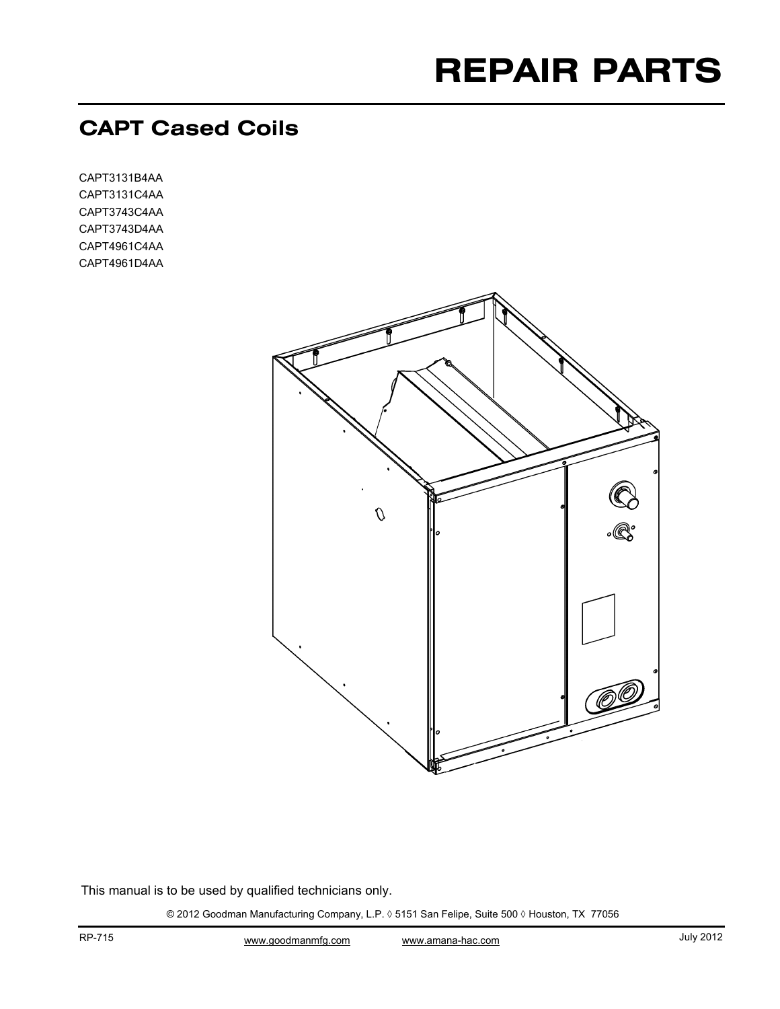# **REPAIR PARTS**

# **CAPT Cased Coils**

CAPT3131B4AA CAPT3131C4AA CAPT3743C4AA CAPT3743D4AA CAPT4961C4AA CAPT4961D4AA



This manual is to be used by qualified technicians only.

© 2012 Goodman Manufacturing Company, L.P. ◊ 5151 San Felipe, Suite 500 ◊ Houston, TX 77056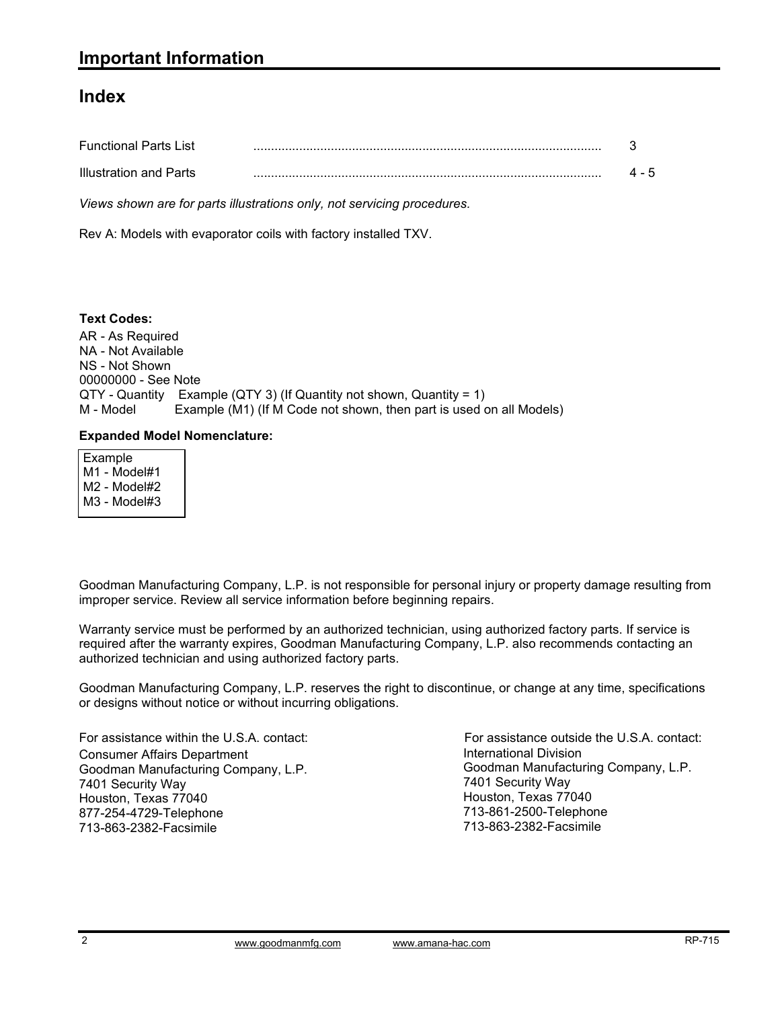### **Index**

| <b>Functional Parts List</b>  |       |
|-------------------------------|-------|
| <b>Illustration and Parts</b> | 4 - 5 |

*Views shown are for parts illustrations only, not servicing procedures.*

Rev A: Models with evaporator coils with factory installed TXV.

AR - As Required NA - Not Available NS - Not Shown 00000000 - See Note QTY - Quantity Example (QTY 3) (If Quantity not shown, Quantity = 1) M - Model Example (M1) (If M Code not shown, then part is used on all Models) **Text Codes:**

#### **Expanded Model Nomenclature:**

 Example M1 - Model#1 M2 - Model#2 M3 - Model#3

Goodman Manufacturing Company, L.P. is not responsible for personal injury or property damage resulting from improper service. Review all service information before beginning repairs.

Warranty service must be performed by an authorized technician, using authorized factory parts. If service is required after the warranty expires, Goodman Manufacturing Company, L.P. also recommends contacting an authorized technician and using authorized factory parts.

Goodman Manufacturing Company, L.P. reserves the right to discontinue, or change at any time, specifications or designs without notice or without incurring obligations.

For assistance within the U.S.A. contact: Consumer Affairs Department Goodman Manufacturing Company, L.P. 7401 Security Way Houston, Texas 77040 877-254-4729-Telephone 713-863-2382-Facsimile

International Division International Division<br>Goodman Manufacturing Company, L.P. 7401 Security Way Houston, Texas 77040 713-861-2500-Telephone 713-863-2382-Facsimile For assistance outside the U.S.A. contact: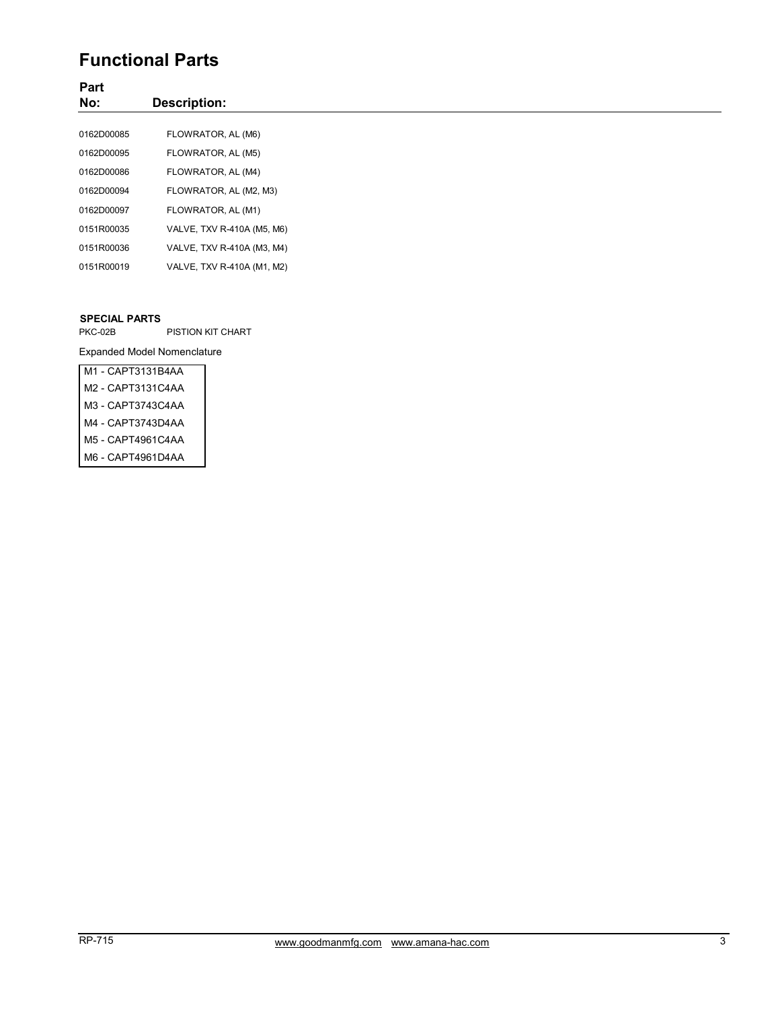## **Functional Parts**

#### **Part No: Description:** 0162D00085 FLOWRATOR, AL (M6) 0162D00095 FLOWRATOR, AL (M5) 0162D00086 FLOWRATOR, AL (M4) 0162D00094 FLOWRATOR, AL (M2, M3) 0162D00097 FLOWRATOR, AL (M1) 0151R00035 VALVE, TXV R-410A (M5, M6) 0151R00036 VALVE, TXV R-410A (M3, M4) 0151R00019 VALVE, TXV R-410A (M1, M2)

#### **SPECIAL PARTS**

PKC-02B PISTION KIT CHART

Expanded Model Nomenclature

| M1 - CAPT3131B4AA |
|-------------------|
| M2 - CAPT3131C4AA |
| M3 - CAPT3743C4AA |
| M4 - CAPT3743D4AA |
| M5 - CAPT4961C4AA |
| M6 - CAPT4961D4AA |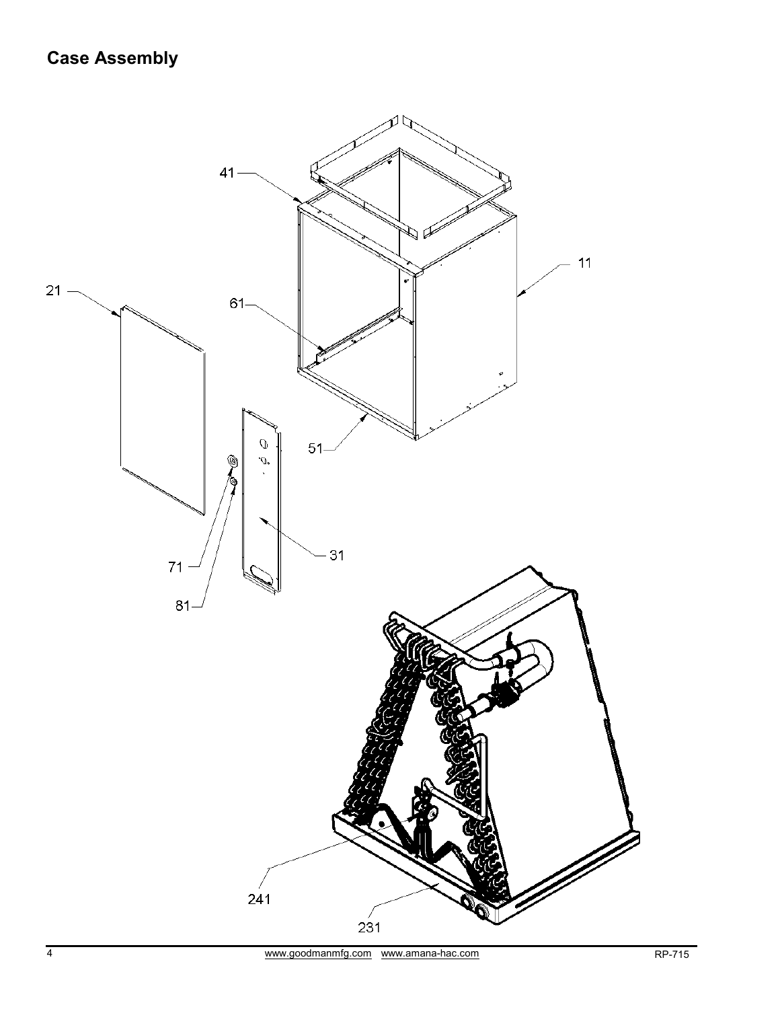